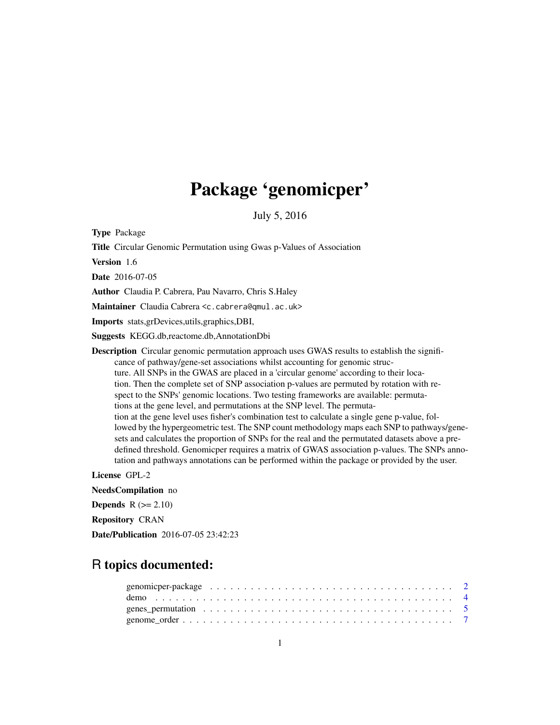# Package 'genomicper'

July 5, 2016

Type Package

Title Circular Genomic Permutation using Gwas p-Values of Association

Version 1.6

Date 2016-07-05

Author Claudia P. Cabrera, Pau Navarro, Chris S.Haley

Maintainer Claudia Cabrera <c.cabrera@qmul.ac.uk>

Imports stats,grDevices,utils,graphics,DBI,

Suggests KEGG.db,reactome.db,AnnotationDbi

Description Circular genomic permutation approach uses GWAS results to establish the significance of pathway/gene-set associations whilst accounting for genomic structure. All SNPs in the GWAS are placed in a 'circular genome' according to their location. Then the complete set of SNP association p-values are permuted by rotation with respect to the SNPs' genomic locations. Two testing frameworks are available: permutations at the gene level, and permutations at the SNP level. The permutation at the gene level uses fisher's combination test to calculate a single gene p-value, followed by the hypergeometric test. The SNP count methodology maps each SNP to pathways/genesets and calculates the proportion of SNPs for the real and the permutated datasets above a predefined threshold. Genomicper requires a matrix of GWAS association p-values. The SNPs annotation and pathways annotations can be performed within the package or provided by the user.

License GPL-2

NeedsCompilation no **Depends**  $R$  ( $>= 2.10$ ) Repository CRAN Date/Publication 2016-07-05 23:42:23

# R topics documented:

| genomic per-package $\ldots \ldots \ldots \ldots \ldots \ldots \ldots \ldots \ldots \ldots \ldots \ldots$ |  |  |  |  |  |  |  |  |  |  |  |  |  |  |  |  |  |
|-----------------------------------------------------------------------------------------------------------|--|--|--|--|--|--|--|--|--|--|--|--|--|--|--|--|--|
|                                                                                                           |  |  |  |  |  |  |  |  |  |  |  |  |  |  |  |  |  |
|                                                                                                           |  |  |  |  |  |  |  |  |  |  |  |  |  |  |  |  |  |
|                                                                                                           |  |  |  |  |  |  |  |  |  |  |  |  |  |  |  |  |  |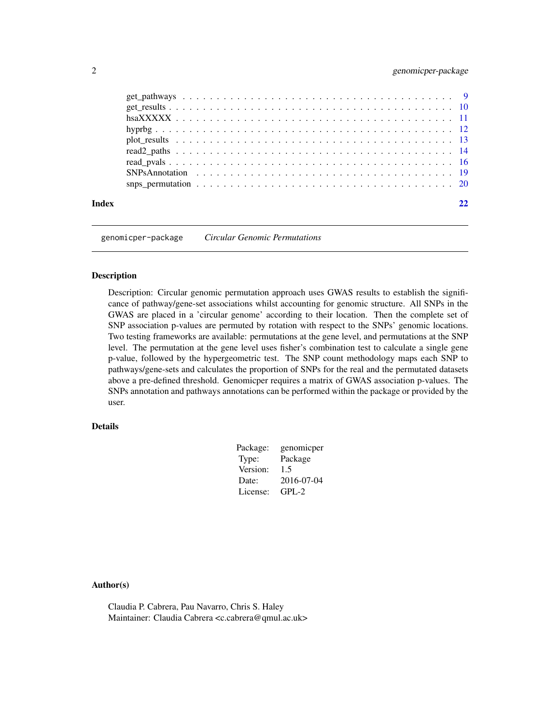<span id="page-1-0"></span>

genomicper-package *Circular Genomic Permutations*

#### Description

Description: Circular genomic permutation approach uses GWAS results to establish the significance of pathway/gene-set associations whilst accounting for genomic structure. All SNPs in the GWAS are placed in a 'circular genome' according to their location. Then the complete set of SNP association p-values are permuted by rotation with respect to the SNPs' genomic locations. Two testing frameworks are available: permutations at the gene level, and permutations at the SNP level. The permutation at the gene level uses fisher's combination test to calculate a single gene p-value, followed by the hypergeometric test. The SNP count methodology maps each SNP to pathways/gene-sets and calculates the proportion of SNPs for the real and the permutated datasets above a pre-defined threshold. Genomicper requires a matrix of GWAS association p-values. The SNPs annotation and pathways annotations can be performed within the package or provided by the user.

### Details

| Package: | genomicper |
|----------|------------|
| Type:    | Package    |
| Version: | 1.5        |
| Date:    | 2016-07-04 |
| License: | $GPL-2$    |

#### Author(s)

Claudia P. Cabrera, Pau Navarro, Chris S. Haley Maintainer: Claudia Cabrera <c.cabrera@qmul.ac.uk>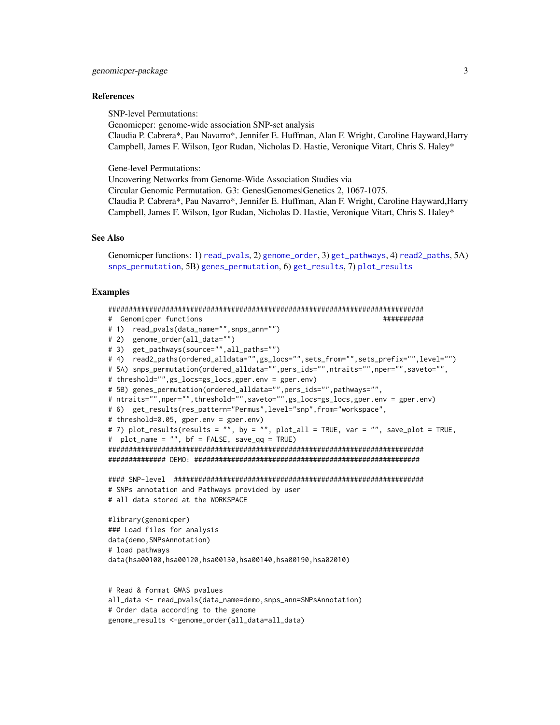#### <span id="page-2-0"></span>References

SNP-level Permutations:

Genomicper: genome-wide association SNP-set analysis Claudia P. Cabrera\*, Pau Navarro\*, Jennifer E. Huffman, Alan F. Wright, Caroline Hayward,Harry Campbell, James F. Wilson, Igor Rudan, Nicholas D. Hastie, Veronique Vitart, Chris S. Haley\*

Gene-level Permutations:

Uncovering Networks from Genome-Wide Association Studies via Circular Genomic Permutation. G3: Genes|Genomes|Genetics 2, 1067-1075. Claudia P. Cabrera\*, Pau Navarro\*, Jennifer E. Huffman, Alan F. Wright, Caroline Hayward,Harry Campbell, James F. Wilson, Igor Rudan, Nicholas D. Hastie, Veronique Vitart, Chris S. Haley\*

# See Also

Genomicper functions: 1) [read\\_pvals](#page-15-1), 2) [genome\\_order](#page-6-1), 3) [get\\_pathways](#page-8-1), 4) [read2\\_paths](#page-13-1), 5A) [snps\\_permutation](#page-19-1), 5B) [genes\\_permutation](#page-4-1), 6) [get\\_results](#page-9-1), 7) [plot\\_results](#page-12-1)

## Examples

```
#############################################################################
# Genomicper functions ##########
# 1) read_pvals(data_name="",snps_ann="")
# 2) genome_order(all_data="")
# 3) get_pathways(source="",all_paths="")
# 4) read2_paths(ordered_alldata="",gs_locs="",sets_from="",sets_prefix="",level="")
# 5A) snps_permutation(ordered_alldata="",pers_ids="",ntraits="",nper="",saveto="",
# threshold="",gs_locs=gs_locs,gper.env = gper.env)
# 5B) genes_permutation(ordered_alldata="",pers_ids="",pathways="",
# ntraits="",nper="",threshold="",saveto="",gs_locs=gs_locs,gper.env = gper.env)
# 6) get_results(res_pattern="Permus",level="snp",from="workspace",
# threshold=0.05, gper.env = gper.env)
# 7) plot_results(results = "", by = "", plot_all = TRUE, var = "", save_plot = TRUE,
# plot_name = "", bf = FALSE, save_qq = TRUE)
#############################################################################
############## DEMO: #######################################################
#### SNP-level #############################################################
# SNPs annotation and Pathways provided by user
# all data stored at the WORKSPACE
#library(genomicper)
### Load files for analysis
data(demo,SNPsAnnotation)
# load pathways
data(hsa00100,hsa00120,hsa00130,hsa00140,hsa00190,hsa02010)
# Read & format GWAS pvalues
all_data <- read_pvals(data_name=demo,snps_ann=SNPsAnnotation)
# Order data according to the genome
```

```
genome_results <-genome_order(all_data=all_data)
```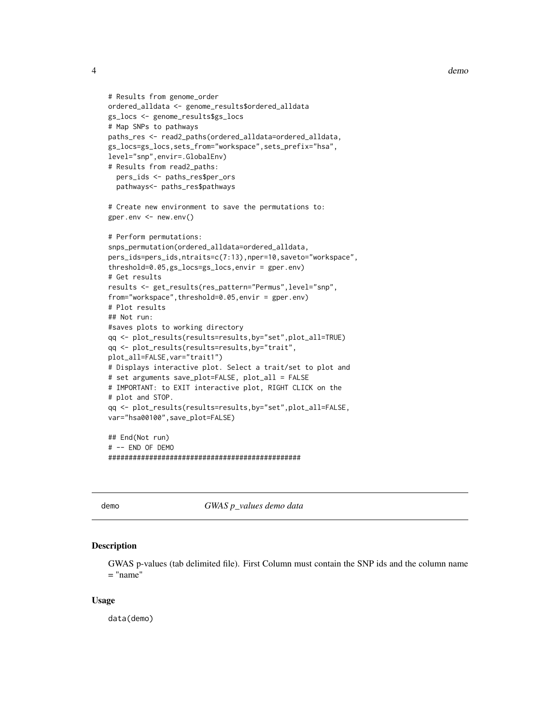```
# Results from genome_order
ordered_alldata <- genome_results$ordered_alldata
gs_locs <- genome_results$gs_locs
# Map SNPs to pathways
paths_res <- read2_paths(ordered_alldata=ordered_alldata,
gs_locs=gs_locs,sets_from="workspace",sets_prefix="hsa",
level="snp",envir=.GlobalEnv)
# Results from read2_paths:
 pers_ids <- paths_res$per_ors
 pathways<- paths_res$pathways
# Create new environment to save the permutations to:
gper.env <- new.env()
# Perform permutations:
snps_permutation(ordered_alldata=ordered_alldata,
pers_ids=pers_ids,ntraits=c(7:13),nper=10,saveto="workspace",
threshold=0.05,gs_locs=gs_locs,envir = gper.env)
# Get results
results <- get_results(res_pattern="Permus",level="snp",
from="workspace",threshold=0.05,envir = gper.env)
# Plot results
## Not run:
#saves plots to working directory
qq <- plot_results(results=results,by="set",plot_all=TRUE)
qq <- plot_results(results=results,by="trait",
plot_all=FALSE,var="trait1")
# Displays interactive plot. Select a trait/set to plot and
# set arguments save_plot=FALSE, plot_all = FALSE
# IMPORTANT: to EXIT interactive plot, RIGHT CLICK on the
# plot and STOP.
qq <- plot_results(results=results,by="set",plot_all=FALSE,
var="hsa00100",save_plot=FALSE)
## End(Not run)
# -- END OF DEMO
###############################################
```
demo *GWAS p\_values demo data*

#### Description

GWAS p-values (tab delimited file). First Column must contain the SNP ids and the column name  $=$  "name"

#### Usage

data(demo)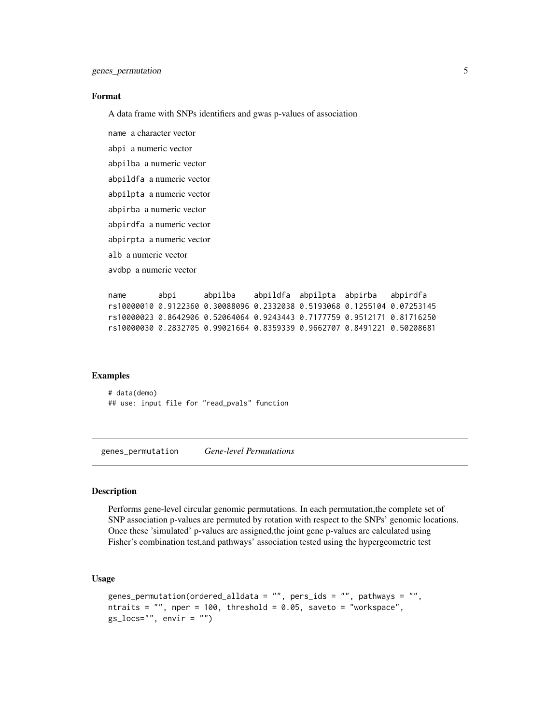#### <span id="page-4-0"></span>Format

A data frame with SNPs identifiers and gwas p-values of association

name a character vector abpi a numeric vector abpilba a numeric vector abpildfa a numeric vector abpilpta a numeric vector abpirba a numeric vector abpirdfa a numeric vector abpirpta a numeric vector alb a numeric vector avdbp a numeric vector

name abpi abpilba abpildfa abpilpta abpirba abpirdfa rs10000010 0.9122360 0.30088096 0.2332038 0.5193068 0.1255104 0.07253145 rs10000023 0.8642906 0.52064064 0.9243443 0.7177759 0.9512171 0.81716250 rs10000030 0.2832705 0.99021664 0.8359339 0.9662707 0.8491221 0.50208681

#### Examples

# data(demo) ## use: input file for "read\_pvals" function

<span id="page-4-1"></span>genes\_permutation *Gene-level Permutations*

#### Description

Performs gene-level circular genomic permutations. In each permutation,the complete set of SNP association p-values are permuted by rotation with respect to the SNPs' genomic locations. Once these 'simulated' p-values are assigned,the joint gene p-values are calculated using Fisher's combination test,and pathways' association tested using the hypergeometric test

# Usage

```
genes_permutation(ordered_alldata = ", pers_ids = ", pathways = ",
ntraits = ", nper = 100, threshold = 0.05, saveto = "workspace",
gs\_locs="", envir = "")
```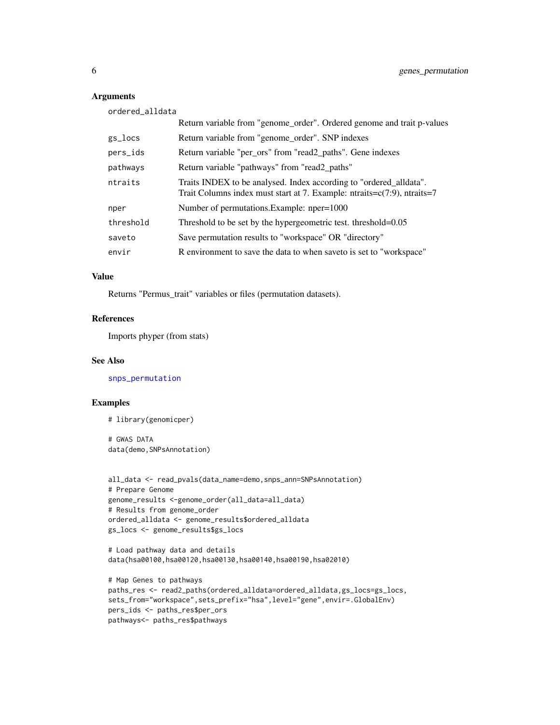# Arguments

ordered\_alldata

|           | Return variable from "genome_order". Ordered genome and trait p-values                                                                                               |
|-----------|----------------------------------------------------------------------------------------------------------------------------------------------------------------------|
| gs_locs   | Return variable from "genome_order". SNP indexes                                                                                                                     |
| pers_ids  | Return variable "per_ors" from "read2_paths". Gene indexes                                                                                                           |
| pathways  | Return variable "pathways" from "read2_paths"                                                                                                                        |
| ntraits   | Traits INDEX to be analysed. Index according to "ordered_alldata".<br>Trait Columns index must start at 7. Example: $n\text{traits} = c(7.9)$ , $n\text{traits} = 7$ |
| nper      | Number of permutations. Example: nper=1000                                                                                                                           |
| threshold | Threshold to be set by the hypergeometric test. threshold=0.05                                                                                                       |
| saveto    | Save permutation results to "workspace" OR "directory"                                                                                                               |
| envir     | R environment to save the data to when saveto is set to "workspace"                                                                                                  |

# Value

Returns "Permus\_trait" variables or files (permutation datasets).

# References

Imports phyper (from stats)

#### See Also

[snps\\_permutation](#page-19-1)

# Examples

# library(genomicper)

# GWAS DATA data(demo,SNPsAnnotation)

```
all_data <- read_pvals(data_name=demo,snps_ann=SNPsAnnotation)
# Prepare Genome
genome_results <-genome_order(all_data=all_data)
# Results from genome_order
ordered_alldata <- genome_results$ordered_alldata
gs_locs <- genome_results$gs_locs
```

```
# Load pathway data and details
data(hsa00100,hsa00120,hsa00130,hsa00140,hsa00190,hsa02010)
```

```
# Map Genes to pathways
paths_res <- read2_paths(ordered_alldata=ordered_alldata,gs_locs=gs_locs,
sets_from="workspace",sets_prefix="hsa",level="gene",envir=.GlobalEnv)
pers_ids <- paths_res$per_ors
pathways<- paths_res$pathways
```
<span id="page-5-0"></span>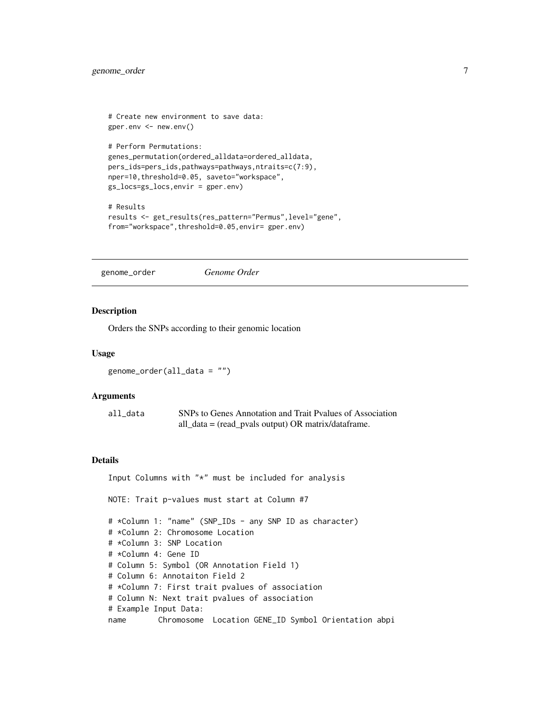```
# Create new environment to save data:
gper.env <- new.env()
# Perform Permutations:
genes_permutation(ordered_alldata=ordered_alldata,
pers_ids=pers_ids,pathways=pathways,ntraits=c(7:9),
nper=10,threshold=0.05, saveto="workspace",
gs_locs=gs_locs,envir = gper.env)
# Results
results <- get_results(res_pattern="Permus",level="gene",
```

```
from="workspace",threshold=0.05,envir= gper.env)
```
<span id="page-6-1"></span>genome\_order *Genome Order*

#### Description

Orders the SNPs according to their genomic location

# Usage

genome\_order(all\_data = "")

#### Arguments

| all data | SNPs to Genes Annotation and Trait Pyalues of Association              |
|----------|------------------------------------------------------------------------|
|          | all_data = $(\text{read\_pvals output}) \text{ OR matrix/dataframe.})$ |

#### Details

Input Columns with "\*" must be included for analysis NOTE: Trait p-values must start at Column #7 # \*Column 1: "name" (SNP\_IDs - any SNP ID as character) # \*Column 2: Chromosome Location # \*Column 3: SNP Location # \*Column 4: Gene ID # Column 5: Symbol (OR Annotation Field 1) # Column 6: Annotaiton Field 2 # \*Column 7: First trait pvalues of association # Column N: Next trait pvalues of association # Example Input Data: name Chromosome Location GENE\_ID Symbol Orientation abpi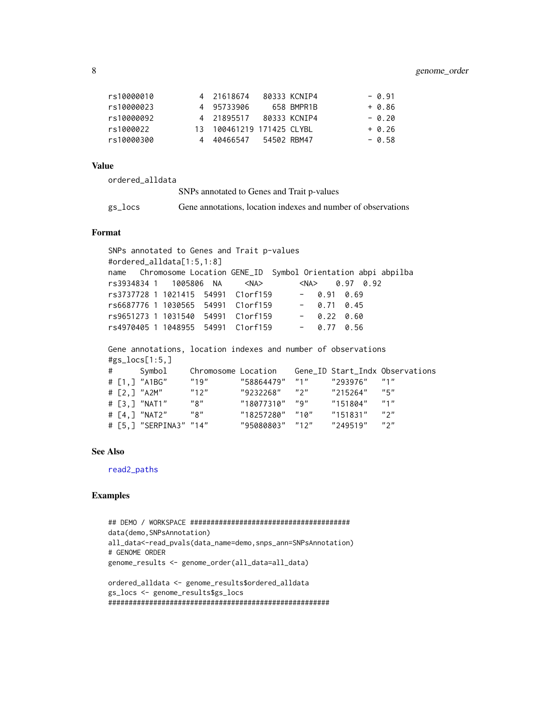<span id="page-7-0"></span>

| rs10000010 | 4 21618674                | 80333 KCNIP4 | $-0.91$  |
|------------|---------------------------|--------------|----------|
| rs10000023 | 4 95733906                | 658 BMPR1B   | $+ 0.86$ |
| rs10000092 | 4 21895517 80333 KCNIP4   |              | $-0.20$  |
| rs1000022  | 13 100461219 171425 CLYBL |              | $+ 0.26$ |
| rs10000300 | 4 40466547 54502 RBM47    |              | $-0.58$  |

#### Value

| ordered alldata |                                                               |
|-----------------|---------------------------------------------------------------|
|                 | SNPs annotated to Genes and Trait p-values                    |
| gs_locs         | Gene annotations, location indexes and number of observations |

# Format

SNPs annotated to Genes and Trait p-values #ordered\_alldata[1:5,1:8] name Chromosome Location GENE\_ID Symbol Orientation abpi abpilba rs3934834 1 1005806 NA <NA> <NA> 0.97 0.92 rs3737728 1 1021415 54991 C1orf159 - 0.91 0.69 rs6687776 1 1030565 54991 C1orf159 - 0.71 0.45 rs9651273 1 1031540 54991 C1orf159 - 0.22 0.60 rs4970405 1 1048955 54991 C1orf159 - 0.77 0.56

Gene annotations, location indexes and number of observations #gs\_locs[1:5,]

```
# Symbol Chromosome Location Gene_ID Start_Indx Observations
# [1,] "A1BG" "19" "58864479" "1" "293976" "1"
# [2,] "A2M" "12" "9232268" "2" "215264" "5"
# [3,] "NAT1" "8" "18077310" "9" "151804" "1"
# [4,] "NAT2" "8" "18257280" "10" "151831" "2"
# [5,] "SERPINA3" "14" "95080803" "12" "249519" "2"
```
#### See Also

[read2\\_paths](#page-13-1)

#### Examples

```
## DEMO / WORKSPACE #######################################
data(demo,SNPsAnnotation)
all_data<-read_pvals(data_name=demo,snps_ann=SNPsAnnotation)
# GENOME ORDER
genome_results <- genome_order(all_data=all_data)
ordered_alldata <- genome_results$ordered_alldata
gs_locs <- genome_results$gs_locs
```
######################################################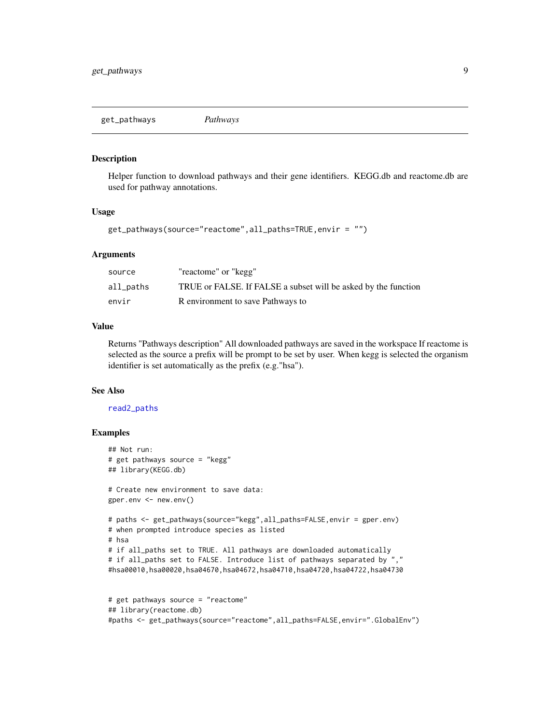<span id="page-8-1"></span><span id="page-8-0"></span>get\_pathways *Pathways*

#### Description

Helper function to download pathways and their gene identifiers. KEGG.db and reactome.db are used for pathway annotations.

### Usage

```
get_pathways(source="reactome",all_paths=TRUE,envir = "")
```
# Arguments

| source    | "reactome" or "kegg"                                           |
|-----------|----------------------------------------------------------------|
| all_paths | TRUE or FALSE. If FALSE a subset will be asked by the function |
| envir     | R environment to save Pathways to                              |

# Value

Returns "Pathways description" All downloaded pathways are saved in the workspace If reactome is selected as the source a prefix will be prompt to be set by user. When kegg is selected the organism identifier is set automatically as the prefix (e.g."hsa").

#### See Also

#### [read2\\_paths](#page-13-1)

# Examples

```
## Not run:
# get pathways source = "kegg"
## library(KEGG.db)
# Create new environment to save data:
gper.env <- new.env()
# paths <- get_pathways(source="kegg",all_paths=FALSE,envir = gper.env)
# when prompted introduce species as listed
# hsa
# if all_paths set to TRUE. All pathways are downloaded automatically
# if all_paths set to FALSE. Introduce list of pathways separated by ","
#hsa00010,hsa00020,hsa04670,hsa04672,hsa04710,hsa04720,hsa04722,hsa04730
# get pathways source = "reactome"
```

```
## library(reactome.db)
#paths <- get_pathways(source="reactome",all_paths=FALSE,envir=".GlobalEnv")
```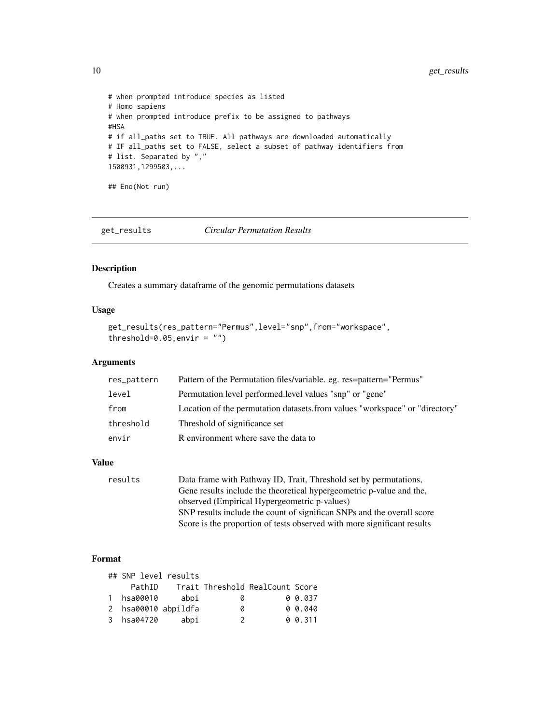```
# when prompted introduce species as listed
# Homo sapiens
# when prompted introduce prefix to be assigned to pathways
#HSA
# if all_paths set to TRUE. All pathways are downloaded automatically
# IF all_paths set to FALSE, select a subset of pathway identifiers from
# list. Separated by ","
1500931,1299503,...
## End(Not run)
```
<span id="page-9-1"></span>get\_results *Circular Permutation Results*

# Description

Creates a summary dataframe of the genomic permutations datasets

# Usage

```
get_results(res_pattern="Permus",level="snp",from="workspace",
threshold=0.05, envir = ")
```
# Arguments

| res_pattern | Pattern of the Permutation files/variable. eg. res=pattern="Permus"         |
|-------------|-----------------------------------------------------------------------------|
| level       | Permutation level performed.level values "snp" or "gene"                    |
| from        | Location of the permutation datasets.from values "workspace" or "directory" |
| threshold   | Threshold of significance set                                               |
| envir       | R environment where save the data to                                        |

#### Value

| results | Data frame with Pathway ID, Trait, Threshold set by permutations,       |
|---------|-------------------------------------------------------------------------|
|         | Gene results include the theoretical hypergeometric p-value and the,    |
|         | observed (Empirical Hypergeometric p-values)                            |
|         | SNP results include the count of significan SNPs and the overall score  |
|         | Score is the proportion of tests observed with more significant results |
|         |                                                                         |

# Format

| ## SNP level results |                     |               |                                 |          |
|----------------------|---------------------|---------------|---------------------------------|----------|
| PathID               |                     |               | Trait Threshold RealCount Score |          |
| 1 hsa00010           | abpi                | 0             |                                 | 0 0.037  |
|                      | 2 hsa00010 abpildfa | ø             |                                 | 0, 0.040 |
| 3 hsa04720           | abpi                | $\mathcal{P}$ |                                 | 0 0.311  |

<span id="page-9-0"></span>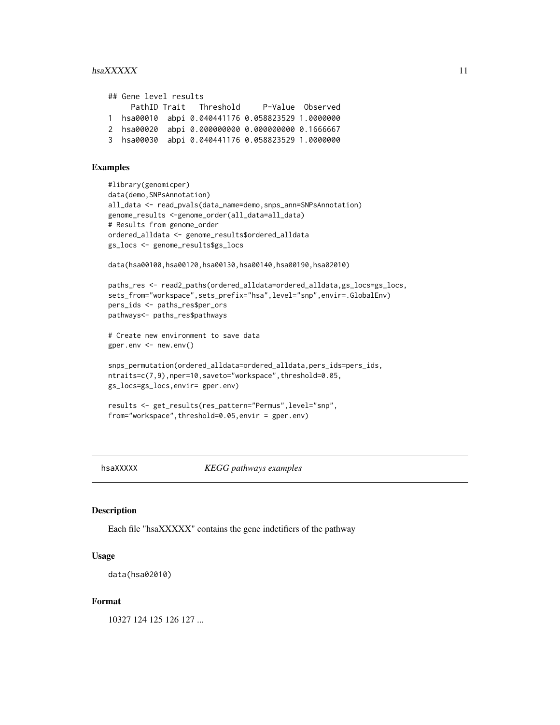#### <span id="page-10-0"></span> $h$ saXXXXX 11

| ## Gene level results |                                                   |  |
|-----------------------|---------------------------------------------------|--|
|                       | PathID Trait Threshold P-Value Observed           |  |
|                       | 1 hsa00010 abpi 0.040441176 0.058823529 1.0000000 |  |
|                       | 2 hsa00020 abpi 0.000000000 0.000000000 0.1666667 |  |
|                       | 3 hsa00030 abpi 0.040441176 0.058823529 1.0000000 |  |

# Examples

```
#library(genomicper)
data(demo,SNPsAnnotation)
all_data <- read_pvals(data_name=demo,snps_ann=SNPsAnnotation)
genome_results <-genome_order(all_data=all_data)
# Results from genome_order
ordered_alldata <- genome_results$ordered_alldata
gs_locs <- genome_results$gs_locs
data(hsa00100,hsa00120,hsa00130,hsa00140,hsa00190,hsa02010)
paths_res <- read2_paths(ordered_alldata=ordered_alldata,gs_locs=gs_locs,
sets_from="workspace",sets_prefix="hsa",level="snp",envir=.GlobalEnv)
pers_ids <- paths_res$per_ors
pathways<- paths_res$pathways
# Create new environment to save data
gper.env <- new.env()
snps_permutation(ordered_alldata=ordered_alldata,pers_ids=pers_ids,
ntraits=c(7,9),nper=10,saveto="workspace",threshold=0.05,
gs_locs=gs_locs,envir= gper.env)
results <- get_results(res_pattern="Permus",level="snp",
from="workspace",threshold=0.05,envir = gper.env)
```
hsaXXXXX *KEGG pathways examples*

# Description

Each file "hsaXXXXX" contains the gene indetifiers of the pathway

#### Usage

```
data(hsa02010)
```
#### Format

10327 124 125 126 127 ...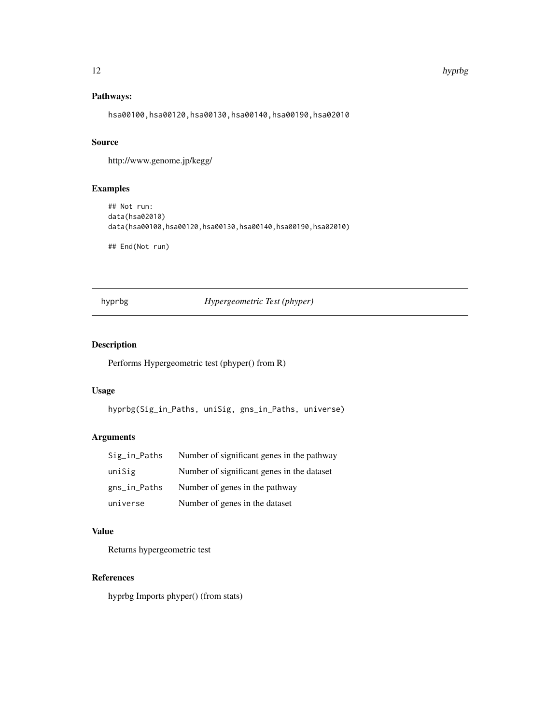#### <span id="page-11-0"></span>12 hyprbg and the state of the state of the state of the state of the state of the state of the state of the state of the state of the state of the state of the state of the state of the state of the state of the state of

# Pathways:

hsa00100,hsa00120,hsa00130,hsa00140,hsa00190,hsa02010

# Source

http://www.genome.jp/kegg/

# Examples

```
## Not run:
data(hsa02010)
data(hsa00100,hsa00120,hsa00130,hsa00140,hsa00190,hsa02010)
```
## End(Not run)

hyprbg *Hypergeometric Test (phyper)*

# Description

Performs Hypergeometric test (phyper() from R)

# Usage

hyprbg(Sig\_in\_Paths, uniSig, gns\_in\_Paths, universe)

# Arguments

| $Sig_in$ Paths | Number of significant genes in the pathway |
|----------------|--------------------------------------------|
| uniSig         | Number of significant genes in the dataset |
| gns_in_Paths   | Number of genes in the pathway             |
| universe       | Number of genes in the dataset             |

# Value

Returns hypergeometric test

# References

hyprbg Imports phyper() (from stats)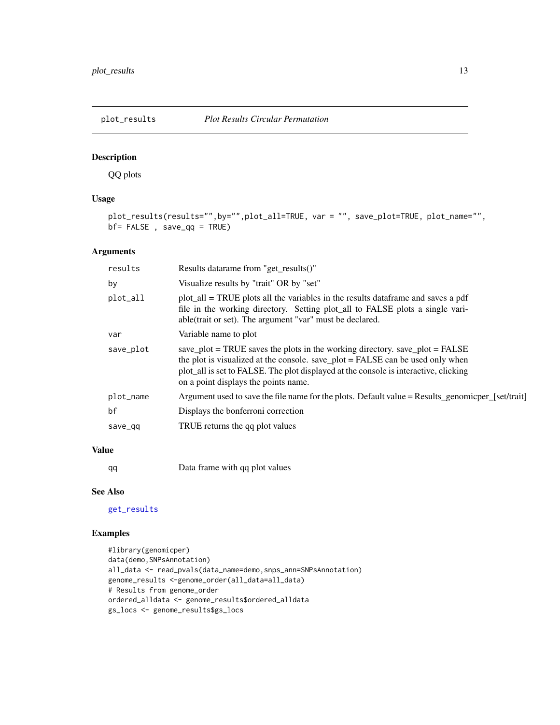<span id="page-12-1"></span><span id="page-12-0"></span>

# Description

QQ plots

# Usage

```
plot_results(results="",by="",plot_all=TRUE, var = "", save_plot=TRUE, plot_name="",
bf= FALSE , save_qq = TRUE)
```
# Arguments

| results   | Results datarame from "get_results()"                                                                                                                                                                                                                                                          |
|-----------|------------------------------------------------------------------------------------------------------------------------------------------------------------------------------------------------------------------------------------------------------------------------------------------------|
| by        | Visualize results by "trait" OR by "set"                                                                                                                                                                                                                                                       |
| plot_all  | plot_all = TRUE plots all the variables in the results data frame and saves a pdf<br>file in the working directory. Setting plot_all to FALSE plots a single vari-<br>able(trait or set). The argument "var" must be declared.                                                                 |
| var       | Variable name to plot                                                                                                                                                                                                                                                                          |
| save_plot | save_plot = TRUE saves the plots in the working directory. save_plot = FALSE<br>the plot is visualized at the console. save_plot = FALSE can be used only when<br>plot_all is set to FALSE. The plot displayed at the console is interactive, clicking<br>on a point displays the points name. |
| plot_name | Argument used to save the file name for the plots. Default value = Results_genomicper_[set/trait]                                                                                                                                                                                              |
| bf        | Displays the bonferroni correction                                                                                                                                                                                                                                                             |
| save_qq   | TRUE returns the qq plot values                                                                                                                                                                                                                                                                |
|           |                                                                                                                                                                                                                                                                                                |

# Value

qq Data frame with qq plot values

# See Also

[get\\_results](#page-9-1)

# Examples

```
#library(genomicper)
data(demo, SNPsAnnotation)
all_data <- read_pvals(data_name=demo,snps_ann=SNPsAnnotation)
genome_results <-genome_order(all_data=all_data)
# Results from genome_order
ordered_alldata <- genome_results$ordered_alldata
gs_locs <- genome_results$gs_locs
```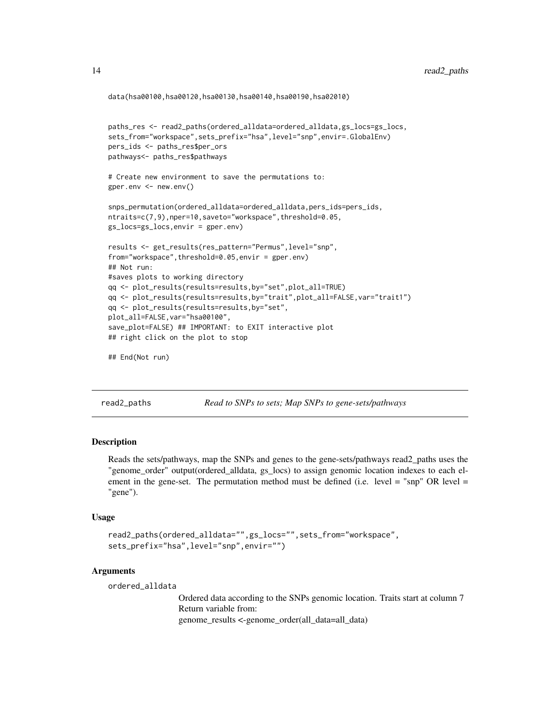```
data(hsa00100,hsa00120,hsa00130,hsa00140,hsa00190,hsa02010)
```

```
paths_res <- read2_paths(ordered_alldata=ordered_alldata,gs_locs=gs_locs,
sets_from="workspace",sets_prefix="hsa",level="snp",envir=.GlobalEnv)
pers_ids <- paths_res$per_ors
pathways<- paths_res$pathways
```

```
# Create new environment to save the permutations to:
gper.env <- new.env()
```

```
snps_permutation(ordered_alldata=ordered_alldata,pers_ids=pers_ids,
ntraits=c(7,9),nper=10,saveto="workspace",threshold=0.05,
gs_locs=gs_locs,envir = gper.env)
```

```
results <- get_results(res_pattern="Permus",level="snp",
from="workspace",threshold=0.05,envir = gper.env)
## Not run:
#saves plots to working directory
qq <- plot_results(results=results,by="set",plot_all=TRUE)
qq <- plot_results(results=results,by="trait",plot_all=FALSE,var="trait1")
qq <- plot_results(results=results,by="set",
plot_all=FALSE,var="hsa00100",
save_plot=FALSE) ## IMPORTANT: to EXIT interactive plot
## right click on the plot to stop
```

```
## End(Not run)
```
<span id="page-13-1"></span>read2\_paths *Read to SNPs to sets; Map SNPs to gene-sets/pathways*

#### **Description**

Reads the sets/pathways, map the SNPs and genes to the gene-sets/pathways read2\_paths uses the "genome\_order" output(ordered\_alldata, gs\_locs) to assign genomic location indexes to each element in the gene-set. The permutation method must be defined (i.e. level  $=$  "snp" OR level  $=$ "gene").

#### Usage

```
read2_paths(ordered_alldata="",gs_locs="",sets_from="workspace",
sets_prefix="hsa",level="snp",envir="")
```
#### Arguments

ordered\_alldata

Ordered data according to the SNPs genomic location. Traits start at column 7 Return variable from: genome\_results <-genome\_order(all\_data=all\_data)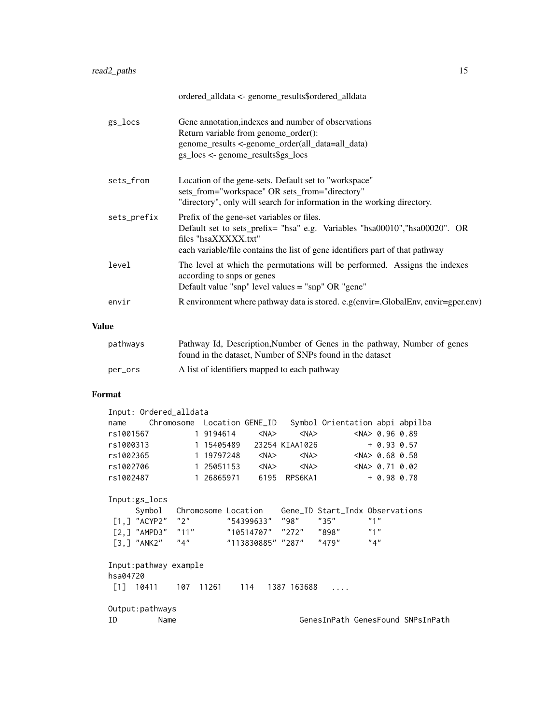|             | ordered_alldata <- genome_results\$ordered_alldata                                                                                                                                                                                 |
|-------------|------------------------------------------------------------------------------------------------------------------------------------------------------------------------------------------------------------------------------------|
| gs_locs     | Gene annotation, indexes and number of observations<br>Return variable from genome_order():<br>genome_results <-genome_order(all_data=all_data)<br>$gs\_locs <$ - genome_results\$gs_locs                                          |
| sets_from   | Location of the gene-sets. Default set to "workspace"<br>sets_from="workspace" OR sets_from="directory"<br>"directory", only will search for information in the working directory.                                                 |
| sets_prefix | Prefix of the gene-set variables or files.<br>Default set to sets_prefix= "hsa" e.g. Variables "hsa00010", "hsa00020". OR<br>files "hsaXXXXX.txt"<br>each variable/file contains the list of gene identifiers part of that pathway |
| level       | The level at which the permutations will be performed. Assigns the indexes<br>according to snps or genes<br>Default value "snp" level values $=$ "snp" OR "gene"                                                                   |
| envir       | R environment where pathway data is stored. e.g(envir=.GlobalEnv, envir=gper.env)                                                                                                                                                  |
|             |                                                                                                                                                                                                                                    |

# Value

| pathways | Pathway Id, Description, Number of Genes in the pathway, Number of genes |
|----------|--------------------------------------------------------------------------|
|          | found in the dataset. Number of SNPs found in the dataset                |
| per_ors  | A list of identifiers mapped to each pathway                             |

# Format

|           | Input: Ordered_alldata                                           |            |                     |                   |                        |                                   |                      |  |
|-----------|------------------------------------------------------------------|------------|---------------------|-------------------|------------------------|-----------------------------------|----------------------|--|
| name      |                                                                  | Chromosome |                     | Location GENE_ID  |                        | Symbol Orientation abpi abpilba   |                      |  |
| rs1001567 |                                                                  |            | 1 9194614           | $<$ NA $>$        | $<$ NA $>$             |                                   | $<$ NA $> 0.96$ 0.89 |  |
| rs1000313 |                                                                  |            | 1 15405489          |                   | 23254 KIAA1026         |                                   | $+ 0.93 0.57$        |  |
| rs1002365 |                                                                  |            | 1 19797248          | $<$ NA $>$        | $<$ NA $>$             |                                   | $<$ NA $> 0.68$ 0.58 |  |
| rs1002706 |                                                                  |            | 1 25051153          | $<$ NA $>$        | $<$ NA $>$             |                                   | $<$ NA $> 0.71$ 0.02 |  |
| rs1002487 |                                                                  |            | 1 26865971          | 6195              | RPS6KA1                |                                   | $+ 0.98 0.78$        |  |
|           | Input:gs_locs                                                    |            |                     |                   |                        |                                   |                      |  |
|           | Symbol                                                           |            | Chromosome Location |                   |                        | Gene_ID Start_Indx Observations   |                      |  |
|           | $[1,]$ "ACYP2" "2"                                               |            |                     | "54399633"        | "98"                   | "35"                              | "1"                  |  |
|           | [2,] "AMPD3"                                                     | "11"       |                     |                   | "10514707" "272" "898" |                                   | "1"                  |  |
|           | $\left[\begin{smallmatrix} 3, 1 \end{smallmatrix}\right]$ "ANK2" | "4"        |                     | "113830885" "287" |                        | "479"                             | "4"                  |  |
|           | Input:pathway example                                            |            |                     |                   |                        |                                   |                      |  |
| hsa04720  |                                                                  |            |                     |                   |                        |                                   |                      |  |
| [1]       | 10411                                                            | 107        | 11261               | 114               | 1387 163688            |                                   |                      |  |
|           | Output:pathways                                                  |            |                     |                   |                        |                                   |                      |  |
| ΙD        | Name                                                             |            |                     |                   |                        | GenesInPath GenesFound SNPsInPath |                      |  |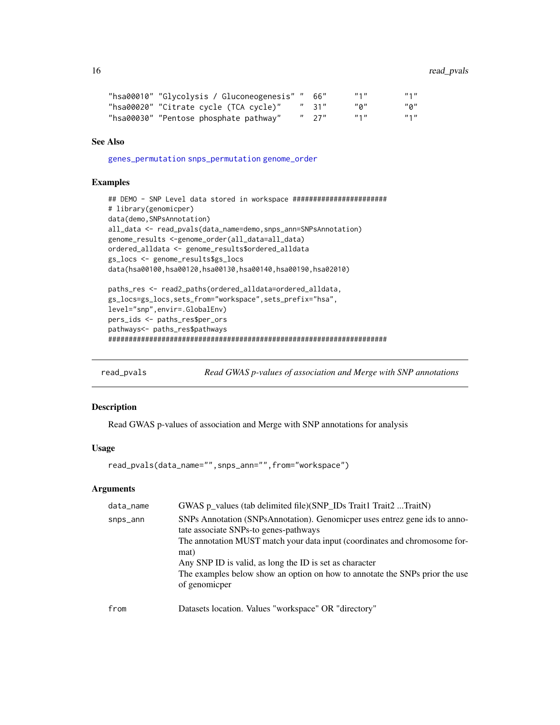```
"hsa00010" "Glycolysis / Gluconeogenesis" " 66"     "1"       "1"<br>"hsa00020" "Citrate cycle (TCA cycle)"   " 31"   "0"     "0"
"hsa00020" "Citrate cycle (TCA cycle)" " 31" "0" "0"<br>"hsa00030" "Pentose phosphate pathway" " 27" "1" "1"
"hsa00030" "Pentose phosphate pathway"
```
# See Also

[genes\\_permutation](#page-4-1) [snps\\_permutation](#page-19-1) [genome\\_order](#page-6-1)

# Examples

```
## DEMO - SNP Level data stored in workspace #######################
# library(genomicper)
data(demo,SNPsAnnotation)
all_data <- read_pvals(data_name=demo,snps_ann=SNPsAnnotation)
genome_results <-genome_order(all_data=all_data)
ordered_alldata <- genome_results$ordered_alldata
gs_locs <- genome_results$gs_locs
data(hsa00100,hsa00120,hsa00130,hsa00140,hsa00190,hsa02010)
paths_res <- read2_paths(ordered_alldata=ordered_alldata,
gs_locs=gs_locs,sets_from="workspace",sets_prefix="hsa",
level="snp",envir=.GlobalEnv)
pers_ids <- paths_res$per_ors
pathways<- paths_res$pathways
```
####################################################################

<span id="page-15-1"></span>read\_pvals *Read GWAS p-values of association and Merge with SNP annotations*

#### Description

Read GWAS p-values of association and Merge with SNP annotations for analysis

# Usage

```
read_pvals(data_name="",snps_ann="",from="workspace")
```
# Arguments

| data_name | GWAS p_values (tab delimited file)(SNP_IDs Trait1 Trait2 TraitN)                                                                                                                                                                                                                                                                                                     |
|-----------|----------------------------------------------------------------------------------------------------------------------------------------------------------------------------------------------------------------------------------------------------------------------------------------------------------------------------------------------------------------------|
| snps_ann  | SNPs Annotation (SNPsAnnotation). Genomicper uses entrez gene ids to anno-<br>tate associate SNPs-to genes-pathways<br>The annotation MUST match your data input (coordinates and chromosome for-<br>mat)<br>Any SNP ID is valid, as long the ID is set as character<br>The examples below show an option on how to annotate the SNPs prior the use<br>of genomicper |
| from      | Datasets location. Values "workspace" OR "directory"                                                                                                                                                                                                                                                                                                                 |

<span id="page-15-0"></span>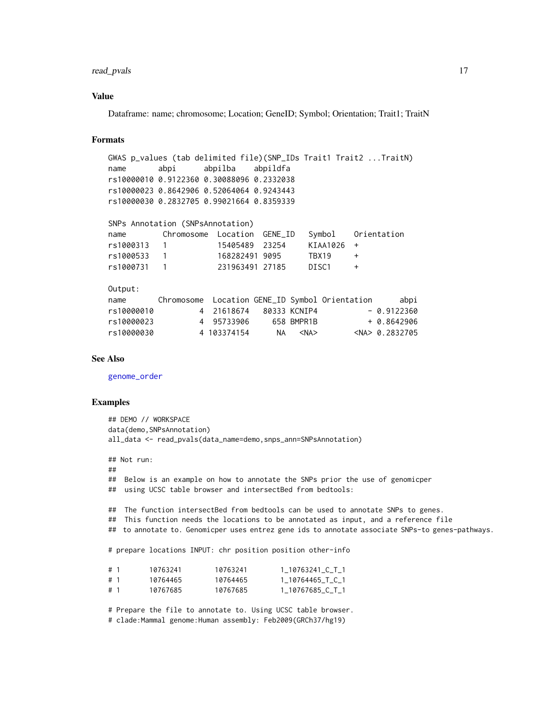# <span id="page-16-0"></span>read\_pvals 17

#### Value

Dataframe: name; chromosome; Location; GeneID; Symbol; Orientation; Trait1; TraitN

#### Formats

```
GWAS p_values (tab delimited file)(SNP_IDs Trait1 Trait2 ...TraitN)
name abpi abpilba abpildfa
rs10000010 0.9122360 0.30088096 0.2332038
rs10000023 0.8642906 0.52064064 0.9243443
rs10000030 0.2832705 0.99021664 0.8359339
SNPs Annotation (SNPsAnnotation)
name Chromosome Location GENE_ID Symbol Orientation
rs1000313 1 15405489 23254 KIAA1026 +
rs1000533 1 168282491 9095 TBX19 +
rs1000731 1 231963491 27185 DISC1 +
Output:
         name Chromosome Location GENE_ID Symbol Orientation abpi
```

| name       |             |    |              | Chromosome Location GENE_ID Symbol Orientation | abpi                 |
|------------|-------------|----|--------------|------------------------------------------------|----------------------|
| rs10000010 | 4 21618674  |    | 80333 KCNIP4 |                                                | $-0.9122360$         |
| rs10000023 | 4 95733906  |    | 658 BMPR1B   |                                                | $+ 0.8642906$        |
| rs10000030 | 4 103374154 | NА | <na></na>    |                                                | $<$ NA $> 0.2832705$ |

#### See Also

[genome\\_order](#page-6-1)

### Examples

```
## DEMO // WORKSPACE
data(demo,SNPsAnnotation)
all_data <- read_pvals(data_name=demo,snps_ann=SNPsAnnotation)
## Not run:
##
## Below is an example on how to annotate the SNPs prior the use of genomicper
## using UCSC table browser and intersectBed from bedtools:
## The function intersectBed from bedtools can be used to annotate SNPs to genes.
## This function needs the locations to be annotated as input, and a reference file
## to annotate to. Genomicper uses entrez gene ids to annotate associate SNPs-to genes-pathways.
# prepare locations INPUT: chr position position other-info
# 1 10763241 10763241 1_10763241_C_T_1
# 1 10764465 10764465 1_10764465_T_C_1
# 1 10767685 10767685 1_10767685_C_T_1
# Prepare the file to annotate to. Using UCSC table browser.
```
# clade:Mammal genome:Human assembly: Feb2009(GRCh37/hg19)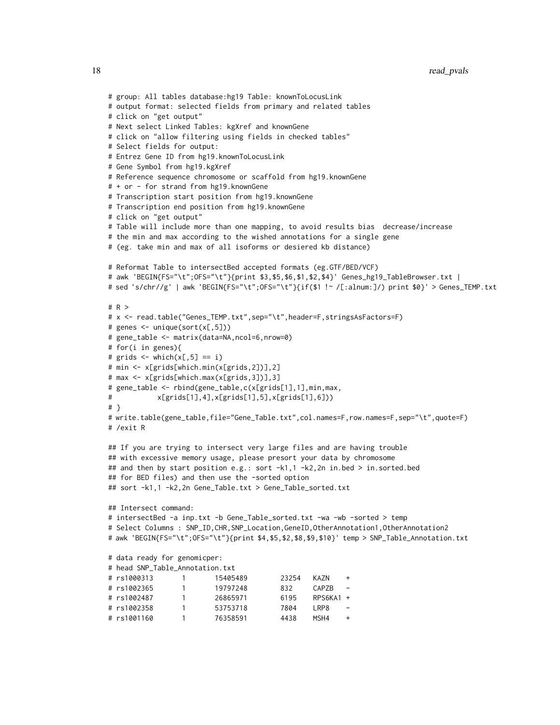```
# group: All tables database:hg19 Table: knownToLocusLink
# output format: selected fields from primary and related tables
# click on "get output"
# Next select Linked Tables: kgXref and knownGene
# click on "allow filtering using fields in checked tables"
# Select fields for output:
# Entrez Gene ID from hg19.knownToLocusLink
# Gene Symbol from hg19.kgXref
# Reference sequence chromosome or scaffold from hg19.knownGene
# + or - for strand from hg19.knownGene
# Transcription start position from hg19.knownGene
# Transcription end position from hg19.knownGene
# click on "get output"
# Table will include more than one mapping, to avoid results bias decrease/increase
# the min and max according to the wished annotations for a single gene
# (eg. take min and max of all isoforms or desiered kb distance)
# Reformat Table to intersectBed accepted formats (eg.GTF/BED/VCF)
# awk 'BEGIN{FS="\t";OFS="\t"}{print $3,$5,$6,$1,$2,$4}' Genes_hg19_TableBrowser.txt |
# sed 's/chr//g' | awk 'BEGIN{FS="\t";OFS="\t"}{if($1 !~ /[:alnum:]/) print $0}' > Genes_TEMP.txt
# R >
# x <- read.table("Genes_TEMP.txt",sep="\t",header=F,stringsAsFactors=F)
# genes <- unique(sort(x[,5]))
# gene_table <- matrix(data=NA,ncol=6,nrow=0)
# for(i in genes){
# grids \le which(x[,5] == i)
# min <- x[grids[which.min(x[grids,2])],2]
# max <- x[grids[which.max(x[grids,3])],3]
# gene_table <- rbind(gene_table,c(x[grids[1],1],min,max,
# x[grids[1],4],x[grids[1],5],x[grids[1],6]))
# }
# write.table(gene_table,file="Gene_Table.txt",col.names=F,row.names=F,sep="\t",quote=F)
# /exit R
## If you are trying to intersect very large files and are having trouble
## with excessive memory usage, please presort your data by chromosome
## and then by start position e.g.: sort -k1,1 -k2,2n in.bed > in.sorted.bed
## for BED files) and then use the -sorted option
## sort -k1,1 -k2,2n Gene_Table.txt > Gene_Table_sorted.txt
## Intersect command:
# intersectBed -a inp.txt -b Gene_Table_sorted.txt -wa -wb -sorted > temp
# Select Columns : SNP_ID,CHR,SNP_Location,GeneID,OtherAnnotation1,OtherAnnotation2
# awk 'BEGIN{FS="\t";OFS="\t"}{print $4,$5,$2,$8,$9,$10}' temp > SNP_Table_Annotation.txt
# data ready for genomicper:
# head SNP_Table_Annotation.txt
# rs1000313 1 15405489 23254 KAZN +
# rs1002365 1 19797248 832 CAPZB -
# rs1002487 1 26865971 6195 RPS6KA1 +
# rs1002358 1 53753718 7804 LRP8 -
# rs1001160 1 76358591 4438 MSH4 +
```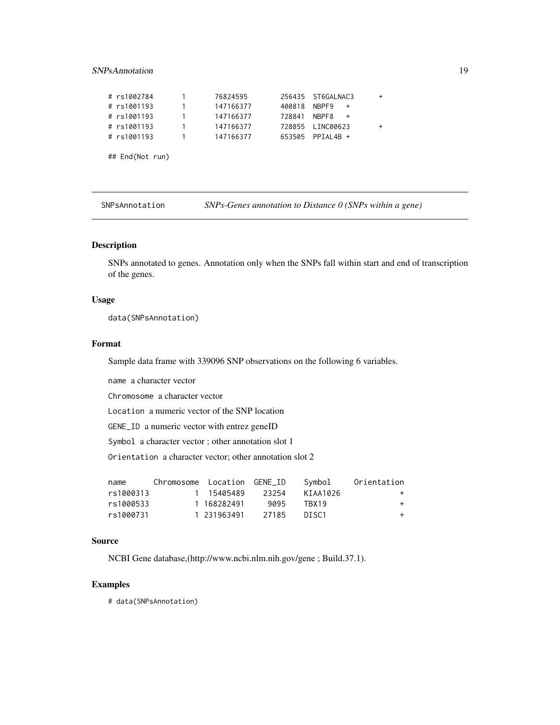# <span id="page-18-0"></span>SNPsAnnotation 19

| 1.                                                                                         | 76824595  |        |              | $\ddot{}$                                                          |
|--------------------------------------------------------------------------------------------|-----------|--------|--------------|--------------------------------------------------------------------|
| 1.                                                                                         | 147166377 | 400818 | $+$          |                                                                    |
|                                                                                            | 147166377 | 728841 | NBPF8<br>$+$ |                                                                    |
| 1.                                                                                         | 147166377 |        |              | $\ddot{}$                                                          |
|                                                                                            | 147166377 |        |              |                                                                    |
|                                                                                            |           |        |              |                                                                    |
|                                                                                            |           |        |              |                                                                    |
| # rs1002784<br># rs1001193<br># rs1001193<br># rs1001193<br># rs1001193<br>## End(Not run) |           |        |              | 256435 ST6GALNAC3<br>NBPF9<br>728855 LINC00623<br>653505 PPIAL4B + |

| SNPsAnnotation | $SNPs$ -Genes annotation to Distance $0$ (SNPs within a gene) |  |  |  |
|----------------|---------------------------------------------------------------|--|--|--|
|----------------|---------------------------------------------------------------|--|--|--|

# Description

SNPs annotated to genes. Annotation only when the SNPs fall within start and end of transcription of the genes.

#### Usage

data(SNPsAnnotation)

## Format

Sample data frame with 339096 SNP observations on the following 6 variables.

name a character vector

Chromosome a character vector

Location a numeric vector of the SNP location

GENE\_ID a numeric vector with entrez geneID

Symbol a character vector ; other annotation slot 1

Orientation a character vector; other annotation slot 2

| name      | Chromosome Location GENE ID |             |       | Svmbol   | Orientation |
|-----------|-----------------------------|-------------|-------|----------|-------------|
| rs1000313 |                             | 1 15405489  | 23254 | KTAA1026 | $^{+}$      |
| rs1000533 |                             | 1 168282491 | 9095  | TBX19    | $\pm$       |
| rs1000731 |                             | 1 231963491 | 27185 | DI SC1   | $\pm$       |

#### Source

NCBI Gene database,(http://www.ncbi.nlm.nih.gov/gene ; Build.37.1).

# Examples

# data(SNPsAnnotation)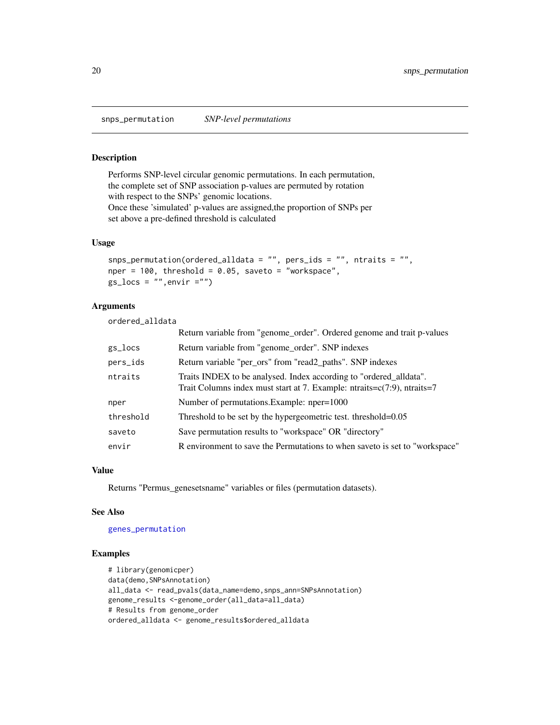<span id="page-19-1"></span><span id="page-19-0"></span>snps\_permutation *SNP-level permutations*

# Description

Performs SNP-level circular genomic permutations. In each permutation, the complete set of SNP association p-values are permuted by rotation with respect to the SNPs' genomic locations. Once these 'simulated' p-values are assigned,the proportion of SNPs per set above a pre-defined threshold is calculated

# Usage

```
snps_permutation(ordered_alldata = "", pers_ids = "", ntraits = "",
nper = 100, threshold = 0.05, saveto = "workspace",
gs\_locs = "", envir = "")
```
# Arguments

ordered\_alldata

|           | Return variable from "genome_order". Ordered genome and trait p-values                                                                                               |
|-----------|----------------------------------------------------------------------------------------------------------------------------------------------------------------------|
| gs_locs   | Return variable from "genome_order". SNP indexes                                                                                                                     |
| pers_ids  | Return variable "per_ors" from "read2_paths". SNP indexes                                                                                                            |
| ntraits   | Traits INDEX to be analysed. Index according to "ordered_alldata".<br>Trait Columns index must start at 7. Example: $n\text{traits} = c(7.9)$ , $n\text{traits} = 7$ |
| nper      | Number of permutations. Example: nper=1000                                                                                                                           |
| threshold | Threshold to be set by the hypergeometric test. threshold=0.05                                                                                                       |
| saveto    | Save permutation results to "workspace" OR "directory"                                                                                                               |
| envir     | R environment to save the Permutations to when saveto is set to "workspace"                                                                                          |

# Value

Returns "Permus\_genesetsname" variables or files (permutation datasets).

#### See Also

#### [genes\\_permutation](#page-4-1)

## Examples

```
# library(genomicper)
data(demo, SNPsAnnotation)
all_data <- read_pvals(data_name=demo,snps_ann=SNPsAnnotation)
genome_results <-genome_order(all_data=all_data)
# Results from genome_order
ordered_alldata <- genome_results$ordered_alldata
```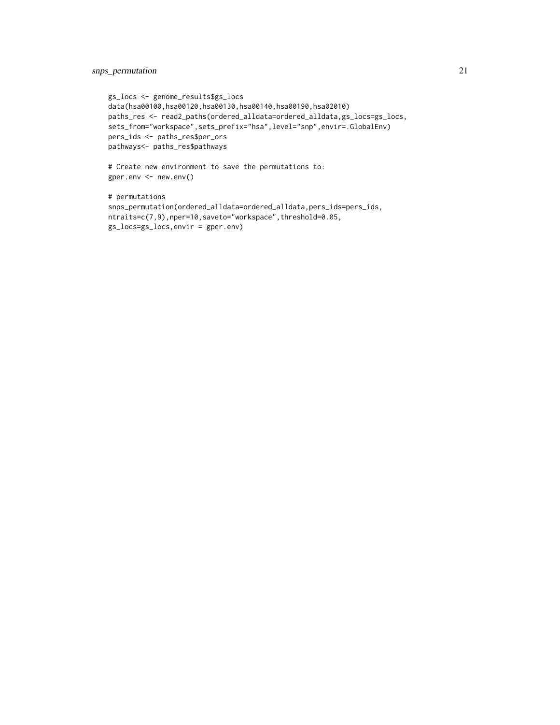# snps\_permutation 21

```
gs_locs <- genome_results$gs_locs
data(hsa00100,hsa00120,hsa00130,hsa00140,hsa00190,hsa02010)
paths_res <- read2_paths(ordered_alldata=ordered_alldata,gs_locs=gs_locs,
sets_from="workspace",sets_prefix="hsa",level="snp",envir=.GlobalEnv)
pers_ids <- paths_res$per_ors
pathways<- paths_res$pathways
```

```
# Create new environment to save the permutations to:
gper.env <- new.env()
```

```
# permutations
snps_permutation(ordered_alldata=ordered_alldata,pers_ids=pers_ids,
ntraits=c(7,9),nper=10,saveto="workspace",threshold=0.05,
gs_locs=gs_locs,envir = gper.env)
```